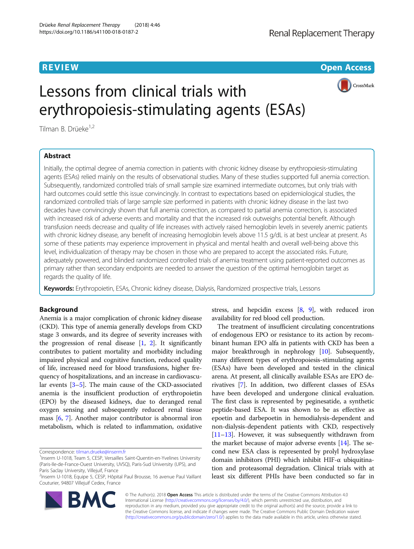**REVIEW CONTROL** CONTROL CONTROL CONTROL CONTROL CONTROL CONTROL CONTROL CONTROL CONTROL CONTROL CONTROL CONTROL



# Lessons from clinical trials with erythropoiesis-stimulating agents (ESAs)

Tilman B. Drüeke<sup>1,2</sup>

# Abstract

Initially, the optimal degree of anemia correction in patients with chronic kidney disease by erythropoiesis-stimulating agents (ESAs) relied mainly on the results of observational studies. Many of these studies supported full anemia correction. Subsequently, randomized controlled trials of small sample size examined intermediate outcomes, but only trials with hard outcomes could settle this issue convincingly. In contrast to expectations based on epidemiological studies, the randomized controlled trials of large sample size performed in patients with chronic kidney disease in the last two decades have convincingly shown that full anemia correction, as compared to partial anemia correction, is associated with increased risk of adverse events and mortality and that the increased risk outweighs potential benefit. Although transfusion needs decrease and quality of life increases with actively raised hemoglobin levels in severely anemic patients with chronic kidney disease, any benefit of increasing hemoglobin levels above 11.5 g/dL is at best unclear at present. As some of these patients may experience improvement in physical and mental health and overall well-being above this level, individualization of therapy may be chosen in those who are prepared to accept the associated risks. Future, adequately powered, and blinded randomized controlled trials of anemia treatment using patient-reported outcomes as primary rather than secondary endpoints are needed to answer the question of the optimal hemoglobin target as regards the quality of life.

Keywords: Erythropoietin, ESAs, Chronic kidney disease, Dialysis, Randomized prospective trials, Lessons

# Background

Anemia is a major complication of chronic kidney disease (CKD). This type of anemia generally develops from CKD stage 3 onwards, and its degree of severity increases with the progression of renal disease  $[1, 2]$  $[1, 2]$  $[1, 2]$  $[1, 2]$  $[1, 2]$ . It significantly contributes to patient mortality and morbidity including impaired physical and cognitive function, reduced quality of life, increased need for blood transfusions, higher frequency of hospitalizations, and an increase in cardiovascular events [\[3](#page-5-0)–[5\]](#page-6-0). The main cause of the CKD-associated anemia is the insufficient production of erythropoietin (EPO) by the diseased kidneys, due to deranged renal oxygen sensing and subsequently reduced renal tissue mass [[6](#page-6-0), [7](#page-6-0)]. Another major contributor is abnormal iron metabolism, which is related to inflammation, oxidative

Correspondence: [tilman.drueke@inserm.fr](mailto:tilman.drueke@inserm.fr) <sup>1</sup>

<sup>2</sup> Inserm U-1018, Equipe 5, CESP, Hôpital Paul Brousse, 16 avenue Paul Vaillant Couturier, 94807 Villejuif Cedex, France



stress, and hepcidin excess [\[8,](#page-6-0) [9\]](#page-6-0), with reduced iron availability for red blood cell production.

The treatment of insufficient circulating concentrations of endogenous EPO or resistance to its action by recombinant human EPO alfa in patients with CKD has been a major breakthrough in nephrology [[10](#page-6-0)]. Subsequently, many different types of erythropoiesis-stimulating agents (ESAs) have been developed and tested in the clinical arena. At present, all clinically available ESAs are EPO derivatives [[7](#page-6-0)]. In addition, two different classes of ESAs have been developed and undergone clinical evaluation. The first class is represented by peginesatide, a synthetic peptide-based ESA. It was shown to be as effective as epoetin and darbepoetin in hemodialysis-dependent and non-dialysis-dependent patients with CKD, respectively [[11](#page-6-0)–[13\]](#page-6-0). However, it was subsequently withdrawn from the market because of major adverse events [[14](#page-6-0)]. The second new ESA class is represented by prolyl hydroxylase domain inhibitors (PHI) which inhibit HIF-α ubiquitination and proteasomal degradation. Clinical trials with at least six different PHIs have been conducted so far in

© The Author(s). 2018 Open Access This article is distributed under the terms of the Creative Commons Attribution 4.0 International License [\(http://creativecommons.org/licenses/by/4.0/](http://creativecommons.org/licenses/by/4.0/)), which permits unrestricted use, distribution, and reproduction in any medium, provided you give appropriate credit to the original author(s) and the source, provide a link to the Creative Commons license, and indicate if changes were made. The Creative Commons Public Domain Dedication waiver [\(http://creativecommons.org/publicdomain/zero/1.0/](http://creativecommons.org/publicdomain/zero/1.0/)) applies to the data made available in this article, unless otherwise stated.

Inserm U-1018, Team 5, CESP, Versailles Saint-Quentin-en-Yvelines University (Paris-Ile-de-France-Ouest University, UVSQ), Paris-Sud University (UPS), and Paris Saclay University, Villejuif, France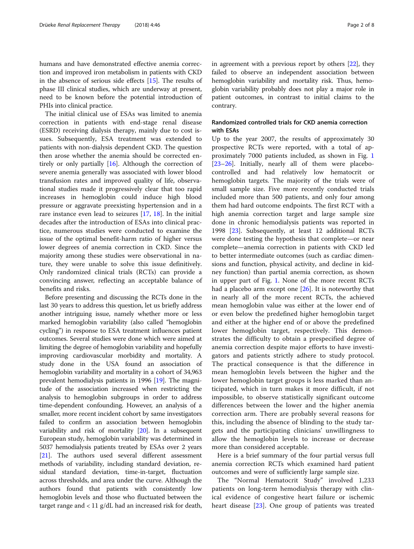humans and have demonstrated effective anemia correction and improved iron metabolism in patients with CKD in the absence of serious side effects [[15](#page-6-0)]. The results of phase III clinical studies, which are underway at present, need to be known before the potential introduction of PHIs into clinical practice.

The initial clinical use of ESAs was limited to anemia correction in patients with end-stage renal disease (ESRD) receiving dialysis therapy, mainly due to cost issues. Subsequently, ESA treatment was extended to patients with non-dialysis dependent CKD. The question then arose whether the anemia should be corrected entirely or only partially [[16\]](#page-6-0). Although the correction of severe anemia generally was associated with lower blood transfusion rates and improved quality of life, observational studies made it progressively clear that too rapid increases in hemoglobin could induce high blood pressure or aggravate preexisting hypertension and in a rare instance even lead to seizures [\[17](#page-6-0), [18](#page-6-0)]. In the initial decades after the introduction of ESAs into clinical practice, numerous studies were conducted to examine the issue of the optimal benefit-harm ratio of higher versus lower degrees of anemia correction in CKD. Since the majority among these studies were observational in nature, they were unable to solve this issue definitively. Only randomized clinical trials (RCTs) can provide a convincing answer, reflecting an acceptable balance of benefits and risks.

Before presenting and discussing the RCTs done in the last 30 years to address this question, let us briefly address another intriguing issue, namely whether more or less marked hemoglobin variability (also called "hemoglobin cycling") in response to ESA treatment influences patient outcomes. Several studies were done which were aimed at limiting the degree of hemoglobin variability and hopefully improving cardiovascular morbidity and mortality. A study done in the USA found an association of hemoglobin variability and mortality in a cohort of 34,963 prevalent hemodialysis patients in 1996 [\[19\]](#page-6-0). The magnitude of the association increased when restricting the analysis to hemoglobin subgroups in order to address time-dependent confounding. However, an analysis of a smaller, more recent incident cohort by same investigators failed to confirm an association between hemoglobin variability and risk of mortality [[20](#page-6-0)]. In a subsequent European study, hemoglobin variability was determined in 5037 hemodialysis patients treated by ESAs over 2 years [[21](#page-6-0)]. The authors used several different assessment methods of variability, including standard deviation, residual standard deviation, time-in-target, fluctuation across thresholds, and area under the curve. Although the authors found that patients with consistently low hemoglobin levels and those who fluctuated between the target range and < 11 g/dL had an increased risk for death, in agreement with a previous report by others [\[22\]](#page-6-0), they failed to observe an independent association between hemoglobin variability and mortality risk. Thus, hemoglobin variability probably does not play a major role in patient outcomes, in contrast to initial claims to the contrary.

# Randomized controlled trials for CKD anemia correction with ESAs

Up to the year 2007, the results of approximately 30 prospective RCTs were reported, with a total of approximately 7000 patients included, as shown in Fig. [1](#page-2-0) [[23](#page-6-0)–[26](#page-6-0)]. Initially, nearly all of them were placebocontrolled and had relatively low hematocrit or hemoglobin targets. The majority of the trials were of small sample size. Five more recently conducted trials included more than 500 patients, and only four among them had hard outcome endpoints. The first RCT with a high anemia correction target and large sample size done in chronic hemodialysis patients was reported in 1998 [\[23](#page-6-0)]. Subsequently, at least 12 additional RCTs were done testing the hypothesis that complete—or near complete—anemia correction in patients with CKD led to better intermediate outcomes (such as cardiac dimensions and function, physical activity, and decline in kidney function) than partial anemia correction, as shown in upper part of Fig. [1](#page-2-0). None of the more recent RCTs had a placebo arm except one [\[26\]](#page-6-0). It is noteworthy that in nearly all of the more recent RCTs, the achieved mean hemoglobin value was either at the lower end of or even below the predefined higher hemoglobin target and either at the higher end of or above the predefined lower hemoglobin target, respectively. This demonstrates the difficulty to obtain a prespecified degree of anemia correction despite major efforts to have investigators and patients strictly adhere to study protocol. The practical consequence is that the difference in mean hemoglobin levels between the higher and the lower hemoglobin target groups is less marked than anticipated, which in turn makes it more difficult, if not impossible, to observe statistically significant outcome differences between the lower and the higher anemia correction arm. There are probably several reasons for this, including the absence of blinding to the study targets and the participating clinicians' unwillingness to allow the hemoglobin levels to increase or decrease more than considered acceptable.

Here is a brief summary of the four partial versus full anemia correction RCTs which examined hard patient outcomes and were of sufficiently large sample size.

The "Normal Hematocrit Study" involved 1,233 patients on long-term hemodialysis therapy with clinical evidence of congestive heart failure or ischemic heart disease [[23\]](#page-6-0). One group of patients was treated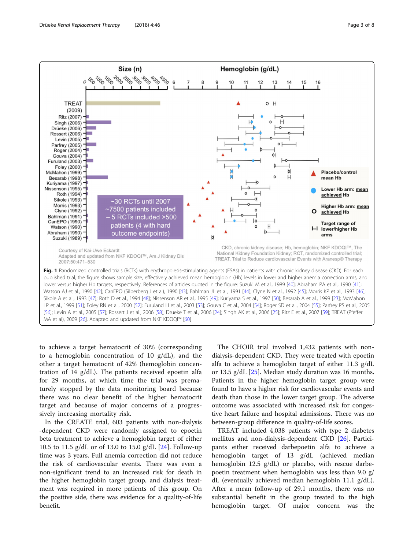

<span id="page-2-0"></span>

to achieve a target hematocrit of 30% (corresponding to a hemoglobin concentration of 10 g/dL), and the other a target hematocrit of 42% (hemoglobin concentration of 14 g/dL). The patients received epoetin alfa for 29 months, at which time the trial was prematurely stopped by the data monitoring board because there was no clear benefit of the higher hematocrit target and because of major concerns of a progressively increasing mortality risk.

In the CREATE trial, 603 patients with non-dialysis -dependent CKD were randomly assigned to epoetin beta treatment to achieve a hemoglobin target of either 10.5 to 11.5 g/dL or of 13.0 to 15.0 g/dL [[24\]](#page-6-0). Follow-up time was 3 years. Full anemia correction did not reduce the risk of cardiovascular events. There was even a non-significant trend to an increased risk for death in the higher hemoglobin target group, and dialysis treatment was required in more patients of this group. On the positive side, there was evidence for a quality-of-life benefit.

The CHOIR trial involved 1,432 patients with nondialysis-dependent CKD. They were treated with epoetin alfa to achieve a hemoglobin target of either 11.3 g/dL or 13.5 g/dL [[25\]](#page-6-0). Median study duration was 16 months. Patients in the higher hemoglobin target group were found to have a higher risk for cardiovascular events and death than those in the lower target group. The adverse outcome was associated with increased risk for congestive heart failure and hospital admissions. There was no between-group difference in quality-of-life scores.

TREAT included 4,038 patients with type 2 diabetes mellitus and non-dialysis-dependent CKD [\[26\]](#page-6-0). Participants either received darbepoetin alfa to achieve a hemoglobin target of 13 g/dL (achieved median hemoglobin 12.5 g/dL) or placebo, with rescue darbepoetin treatment when hemoglobin was less than 9.0 g/ dL (eventually achieved median hemoglobin 11.1 g/dL). After a mean follow-up of 29.1 months, there was no substantial benefit in the group treated to the high hemoglobin target. Of major concern was the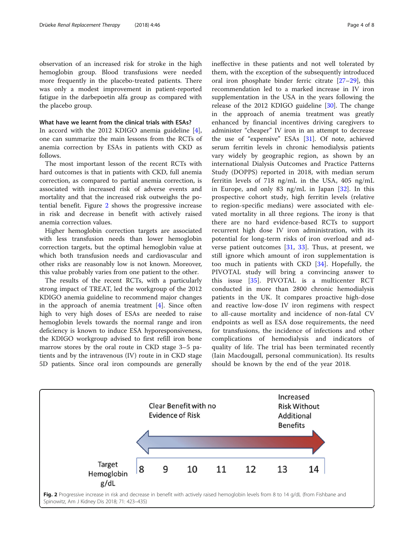observation of an increased risk for stroke in the high hemoglobin group. Blood transfusions were needed more frequently in the placebo-treated patients. There was only a modest improvement in patient-reported fatigue in the darbepoetin alfa group as compared with the placebo group.

#### What have we learnt from the clinical trials with ESAs?

In accord with the 2012 KDIGO anemia guideline [\[4](#page-5-0)], one can summarize the main lessons from the RCTs of anemia correction by ESAs in patients with CKD as follows.

The most important lesson of the recent RCTs with hard outcomes is that in patients with CKD, full anemia correction, as compared to partial anemia correction, is associated with increased risk of adverse events and mortality and that the increased risk outweighs the potential benefit. Figure 2 shows the progressive increase in risk and decrease in benefit with actively raised anemia correction values.

Higher hemoglobin correction targets are associated with less transfusion needs than lower hemoglobin correction targets, but the optimal hemoglobin value at which both transfusion needs and cardiovascular and other risks are reasonably low is not known. Moreover, this value probably varies from one patient to the other.

The results of the recent RCTs, with a particularly strong impact of TREAT, led the workgroup of the 2012 KDIGO anemia guideline to recommend major changes in the approach of anemia treatment  $[4]$  $[4]$ . Since often high to very high doses of ESAs are needed to raise hemoglobin levels towards the normal range and iron deficiency is known to induce ESA hyporesponsiveness, the KDIGO workgroup advised to first refill iron bone marrow stores by the oral route in CKD stage 3–5 patients and by the intravenous (IV) route in in CKD stage 5D patients. Since oral iron compounds are generally ineffective in these patients and not well tolerated by them, with the exception of the subsequently introduced oral iron phosphate binder ferric citrate [[27](#page-6-0)–[29](#page-6-0)], this recommendation led to a marked increase in IV iron supplementation in the USA in the years following the release of the 2012 KDIGO guideline [\[30](#page-6-0)]. The change in the approach of anemia treatment was greatly enhanced by financial incentives driving caregivers to administer "cheaper" IV iron in an attempt to decrease the use of "expensive" ESAs [[31\]](#page-6-0). Of note, achieved serum ferritin levels in chronic hemodialysis patients vary widely by geographic region, as shown by an international Dialysis Outcomes and Practice Patterns Study (DOPPS) reported in 2018, with median serum ferritin levels of 718 ng/mL in the USA, 405 ng/mL in Europe, and only 83 ng/mL in Japan [\[32](#page-6-0)]. In this prospective cohort study, high ferritin levels (relative to region-specific medians) were associated with elevated mortality in all three regions. The irony is that there are no hard evidence-based RCTs to support recurrent high dose IV iron administration, with its potential for long-term risks of iron overload and adverse patient outcomes  $[31, 33]$  $[31, 33]$  $[31, 33]$  $[31, 33]$ . Thus, at present, we still ignore which amount of iron supplementation is too much in patients with CKD [[34\]](#page-6-0). Hopefully, the PIVOTAL study will bring a convincing answer to this issue [\[35](#page-6-0)]. PIVOTAL is a multicenter RCT conducted in more than 2800 chronic hemodialysis patients in the UK. It compares proactive high-dose and reactive low-dose IV iron regimens with respect to all-cause mortality and incidence of non-fatal CV endpoints as well as ESA dose requirements, the need for transfusions, the incidence of infections and other complications of hemodialysis and indicators of quality of life. The trial has been terminated recently (Iain Macdougall, personal communication). Its results should be known by the end of the year 2018.

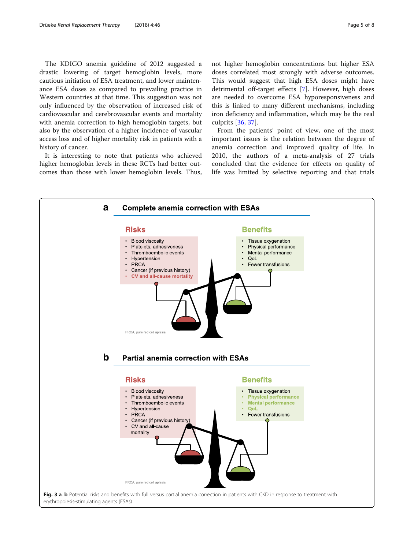<span id="page-4-0"></span>The KDIGO anemia guideline of 2012 suggested a drastic lowering of target hemoglobin levels, more cautious initiation of ESA treatment, and lower maintenance ESA doses as compared to prevailing practice in Western countries at that time. This suggestion was not only influenced by the observation of increased risk of cardiovascular and cerebrovascular events and mortality with anemia correction to high hemoglobin targets, but also by the observation of a higher incidence of vascular access loss and of higher mortality risk in patients with a history of cancer.

It is interesting to note that patients who achieved higher hemoglobin levels in these RCTs had better outcomes than those with lower hemoglobin levels. Thus, not higher hemoglobin concentrations but higher ESA doses correlated most strongly with adverse outcomes. This would suggest that high ESA doses might have detrimental off-target effects [[7](#page-6-0)]. However, high doses are needed to overcome ESA hyporesponsiveness and this is linked to many different mechanisms, including iron deficiency and inflammation, which may be the real culprits [[36](#page-6-0), [37](#page-6-0)].

From the patients' point of view, one of the most important issues is the relation between the degree of anemia correction and improved quality of life. In 2010, the authors of a meta-analysis of 27 trials concluded that the evidence for effects on quality of life was limited by selective reporting and that trials

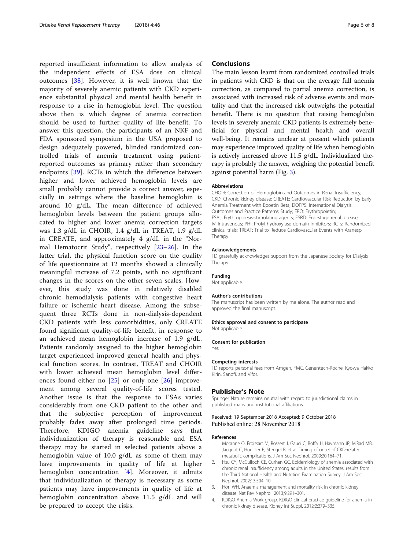<span id="page-5-0"></span>reported insufficient information to allow analysis of the independent effects of ESA dose on clinical outcomes [\[38](#page-6-0)]. However, it is well known that the majority of severely anemic patients with CKD experience substantial physical and mental health benefit in response to a rise in hemoglobin level. The question above then is which degree of anemia correction should be used to further quality of life benefit. To answer this question, the participants of an NKF and FDA sponsored symposium in the USA proposed to design adequately powered, blinded randomized controlled trials of anemia treatment using patientreported outcomes as primary rather than secondary endpoints [\[39](#page-6-0)]. RCTs in which the difference between higher and lower achieved hemoglobin levels are small probably cannot provide a correct answer, especially in settings where the baseline hemoglobin is around 10 g/dL. The mean difference of achieved hemoglobin levels between the patient groups allocated to higher and lower anemia correction targets was 1.3 g/dL in CHOIR, 1.4 g/dL in TREAT, 1.9 g/dL in CREATE, and approximately 4 g/dL in the "Normal Hematocrit Study", respectively [[23](#page-6-0)–[26](#page-6-0)]. In the latter trial, the physical function score on the quality of life questionnaire at 12 months showed a clinically meaningful increase of 7.2 points, with no significant changes in the scores on the other seven scales. However, this study was done in relatively disabled chronic hemodialysis patients with congestive heart failure or ischemic heart disease. Among the subsequent three RCTs done in non-dialysis-dependent CKD patients with less comorbidities, only CREATE found significant quality-of-life benefit, in response to an achieved mean hemoglobin increase of 1.9 g/dL. Patients randomly assigned to the higher hemoglobin target experienced improved general health and physical function scores. In contrast, TREAT and CHOIR with lower achieved mean hemoglobin level differences found either no  $[25]$  $[25]$  or only one  $[26]$  $[26]$  $[26]$  improvement among several quality-of-life scores tested. Another issue is that the response to ESAs varies considerably from one CKD patient to the other and that the subjective perception of improvement probably fades away after prolonged time periods. Therefore, KDIGO anemia guideline says that individualization of therapy is reasonable and ESA therapy may be started in selected patients above a hemoglobin value of 10.0 g/dL as some of them may have improvements in quality of life at higher hemoglobin concentration [4]. Moreover, it admits that individualization of therapy is necessary as some patients may have improvements in quality of life at hemoglobin concentration above 11.5 g/dL and will be prepared to accept the risks.

## **Conclusions**

The main lesson learnt from randomized controlled trials in patients with CKD is that on the average full anemia correction, as compared to partial anemia correction, is associated with increased risk of adverse events and mortality and that the increased risk outweighs the potential benefit. There is no question that raising hemoglobin levels in severely anemic CKD patients is extremely beneficial for physical and mental health and overall well-being. It remains unclear at present which patients may experience improved quality of life when hemoglobin is actively increased above 11.5 g/dL. Individualized therapy is probably the answer, weighing the potential benefit against potential harm (Fig. [3\)](#page-4-0).

#### Abbreviations

CHOIR: Correction of Hemoglobin and Outcomes in Renal Insufficiency; CKD: Chronic kidney disease; CREATE: Cardiovascular Risk Reduction by Early Anemia Treatment with Epoetin Beta; DOPPS: International Dialysis Outcomes and Practice Patterns Study; EPO: Erythropoietin; ESAs: Erythropoiesis-stimulating agents; ESRD: End-stage renal disease; IV: Intravenous; PHI: Prolyl hydroxylase domain inhibitors; RCTs: Randomized clinical trials; TREAT: Trial to Reduce Cardiovascular Events with Aranesp Therapy

#### Acknowledgements

TD gratefully acknowledges support from the Japanese Society for Dialysis Therapy.

Funding

Not applicable.

Not applicable.

#### Author's contributions

The manuscript has been written by me alone. The author read and approved the final manuscript.

#### Ethics approval and consent to participate

Consent for publication Yes

# Competing interests

TD reports personal fees from Amgen, FMC, Genentech-Roche, Kyowa Hakko Kirin, Sanofi, and Vifor.

#### Publisher's Note

Springer Nature remains neutral with regard to jurisdictional claims in published maps and institutional affiliations.

### Received: 19 September 2018 Accepted: 9 October 2018 Published online: 28 November 2018

#### References

- 1. Moranne O, Froissart M, Rossert J, Gauci C, Boffa JJ, Haymann JP, M'Rad MB, Jacquot C, Houillier P, Stengel B, et al. Timing of onset of CKD-related metabolic complications. J Am Soc Nephrol. 2009;20:164–71.
- 2. Hsu CY, McCulloch CE, Curhan GC. Epidemiology of anemia associated with chronic renal insufficiency among adults in the United States: results from the Third National Health and Nutrition Examination Survey. J Am Soc Nephrol. 2002;13:504–10.
- 3. Hörl WH. Anaemia management and mortality risk in chronic kidney disease. Nat Rev Nephrol. 2013;9:291–301.
- 4. KDIGO Anemia Work group. KDIGO clinical practice guideline for anemia in chronic kidney disease. Kidney Int Suppl. 2012;2:279–335.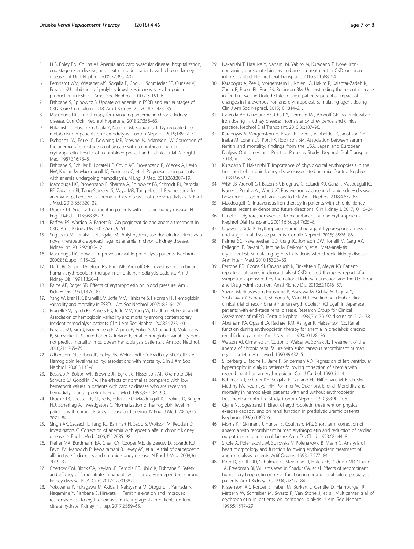- <span id="page-6-0"></span>5. Li S, Foley RN, Collins AJ. Anemia and cardiovascular disease, hospitalization, end stage renal disease, and death in older patients with chronic kidney disease. Int Urol Nephrol. 2005;37:395–402.
- 6. Bernhardt WM, Wiesener MS, Scigalla P, Chou J, Schmieder RE, Gunzler V, Eckardt KU. Inhibition of prolyl hydroxylases increases erythropoietin production in ESRD. J Amer Soc Nephrol. 2010;21:2151–6.
- 7. Fishbane S, Spinowitz B. Update on anemia in ESRD and earlier stages of CKD: Core Curriculum 2018. Am J Kidney Dis. 2018;71:423–35.
- 8. Macdougall IC. Iron therapy for managing anaemia in chronic kidney disease. Curr Opin Nephrol Hypertens. 2018;27:358–63.
- 9. Nakanishi T, Hasuike Y, Otaki Y, Nanami M, Kuragano T. Dysregulated iron metabolism in patients on hemodialysis. Contrib Nephrol. 2015;185:22–31.
- 10. Eschbach JW, Egrie JC, Downing MR, Browne JK, Adamson JW. Correction of the anemia of end-stage renal disease with recombinant human erythropoietin. Results of a combined phase I and II clinical trial. N Engl J Med. 1987;316:73–8.
- 11. Fishbane S, Schiller B, Locatelli F, Covic AC, Provenzano R, Wiecek A, Levin NW, Kaplan M, Macdougall IC, Francisco C, et al. Peginesatide in patients with anemia undergoing hemodialysis. N Engl J Med. 2013;368:307–19.
- 12. Macdougall IC, Provenzano R, Sharma A, Spinowitz BS, Schmidt RJ, Pergola PE, Zabaneh RI, Tong-Starksen S, Mayo MR, Tang H, et al. Peginesatide for anemia in patients with chronic kidney disease not receiving dialysis. N Engl J Med. 2013;368:320–32.
- 13. Drueke TB. Anemia treatment in patients with chronic kidney disease. N Engl J Med. 2013;368:387–9.
- 14. Parfrey PS, Warden G, Barrett BJ. On peginesatide and anemia treatment in CKD. Am J Kidney Dis. 2013;62:659–61.
- 15. Sugahara M, Tanaka T, Nangaku M. Prolyl hydroxylase domain inhibitors as a novel therapeutic approach against anemia in chronic kidney disease. Kidney Int. 2017;92:306–12.
- 16. Macdougall IC. How to improve survival in pre-dialysis patients. Nephron. 2000;85(Suppl 1):15–22.
- 17. Duff DR, Golper TA, Sloan RS, Brier ME, Aronoff GR. Low-dose recombinant human erythropoietin therapy in chronic hemodialysis patients. Am J Kidney Dis. 1991;18:60–4.
- 18. Raine AE, Roger SD. Effects of erythropoietin on blood pressure. Am J Kidney Dis. 1991;18:76–83.
- 19. Yang W, Israni RK, Brunelli SM, Joffe MM, Fishbane S, Feldman HI. Hemoglobin variability and mortality in ESRD. J Am Soc Nephrol. 2007;18:3164–70.
- 20. Brunelli SM, Lynch KE, Ankers ED, Joffe MM, Yang W, Thadhani RI, Feldman HI. Association of hemoglobin variability and mortality among contemporary incident hemodialysis patients. Clin J Am Soc Nephrol. 2008;3:1733–40.
- 21. Eckardt KU, Kim J, Kronenberg F, Aljama P, Anker SD, Canaud B, Molemans B, Stenvinkel P, Schernthaner G, Ireland E, et al. Hemoglobin variability does not predict mortality in European hemodialysis patients. J Am Soc Nephrol. 2010;21:1765–75.
- 22. Gilbertson DT, Ebben JP, Foley RN, Weinhandl ED, Bradbury BD, Collins AJ. Hemoglobin level variability: associations with mortality. Clin J Am Soc Nephrol. 2008;3:133–8.
- 23. Besarab A, Bolton WK, Browne JK, Egrie JC, Nissenson AR, Okamoto DM, Schwab SJ, Goodkin DA. The effects of normal as compared with low hematocrit values in patients with cardiac disease who are receiving hemodialysis and epoetin. N Engl J Med. 1998;339:584–90.
- 24. Drueke TB, Locatelli F, Clyne N, Eckardt KU, Macdougall IC, Tsakiris D, Burger HU, Scherhag A, Investigators C. Normalization of hemoglobin level in patients with chronic kidney disease and anemia. N Engl J Med. 2006;355: 2071–84.
- 25. Singh AK, Szczech L, Tang KL, Barnhart H, Sapp S, Wolfson M, Reddan D, Investigators C. Correction of anemia with epoetin alfa in chronic kidney disease. N Engl J Med. 2006;355:2085–98.
- 26. Pfeffer MA, Burdmann EA, Chen CY, Cooper ME, de Zeeuw D, Eckardt KU, Feyzi JM, Ivanovich P, Kewalramani R, Levey AS, et al. A trial of darbepoetin alfa in type 2 diabetes and chronic kidney disease. N Engl J Med. 2009;361: 2019–32.
- 27. Chertow GM, Block GA, Neylan JF, Pergola PE, Uhlig K, Fishbane S. Safety and efficacy of ferric citrate in patients with nondialysis-dependent chronic kidney disease. PLoS One. 2017;12:e0188712.
- 28. Yokoyama K, Fukagawa M, Akiba T, Nakayama M, Otoguro T, Yamada K, Nagamine Y, Fishbane S, Hirakata H. Ferritin elevation and improved responsiveness to erythropoiesis-stimulating agents in patients on ferric citrate hydrate. Kidney Int Rep. 2017;2:359–65.
- 29. Nakanishi T, Hasuike Y, Nanami M, Yahiro M, Kuragano T. Novel ironcontaining phosphate binders and anemia treatment in CKD: oral iron intake revisited. Nephrol Dial Transplant. 2016;31:1588–94.
- 30. Karaboyas A, Zee J, Morgenstern H, Nolen JG, Hakim R, Kalantar-Zadeh K, Zager P, Pisoni RL, Port FK, Robinson BM. Understanding the recent increase in ferritin levels in United States dialysis patients: potential impact of changes in intravenous iron and erythropoiesis-stimulating agent dosing. Clin J Am Soc Nephrol. 2015;10:1814–21.
- 31. Gaweda AE, Ginzburg YZ, Chait Y, Germain MJ, Aronoff GR, Rachmilewitz E. Iron dosing in kidney disease: inconsistency of evidence and clinical practice. Nephrol Dial Transplant. 2015;30:187–96.
- 32. Karaboyas A, Morgenstern H, Pisoni RL, Zee J, Vanholder R, Jacobson SH, Inaba M, Loram LC, Port FK, Robinson BM. Association between serum ferritin and mortality: findings from the USA, Japan and European Dialysis Outcomes and Practice Patterns Study. Nephrol Dial Transplant. 2018; in press.
- 33. Kuragano T, Nakanishi T. Importance of physiological erythropoiesis in the treatment of chronic kidney disease-associated anemia. Contrib Nephrol. 2018;196:52–7.
- 34. Wish JB, Aronoff GR, Bacon BR, Brugnara C, Eckardt KU, Ganz T, Macdougall IC, Nunez J, Perahia AJ, Wood JC. Positive Iron balance in chronic kidney disease: how much is too much and how to tell? Am J Nephrol. 2018;47:72–83.
- 35. Macdougall IC. Intravenous iron therapy in patients with chronic kidney disease: recent evidence and future directions. Clin Kidney J. 2017;10:i16–24.
- 36. Drueke T. Hyporesponsiveness to recombinant human erythropoietin. Nephrol Dial Transplant. 2001;16(Suppl 7):25–8.
- 37. Ogawa T, Nitta K. Erythropoiesis-stimulating agent hyporesponsiveness in end-stage renal disease patients. Contrib Nephrol. 2015;185:76–86.
- Palmer SC, Navaneethan SD, Craig JC, Johnson DW, Tonelli M, Garg AX, Pellegrini F, Ravani P, Jardine M, Perkovic V, et al. Meta-analysis: erythropoiesis-stimulating agents in patients with chronic kidney disease. Ann Intern Med. 2010;153:23–33.
- 39. Perrone RD, Coons SJ, Cavanaugh K, Finkelstein F, Meyer KB. Patientreported outcomes in clinical trials of CKD-related therapies: report of a symposium sponsored by the national kidney foundation and the U.S. Food and Drug Administration. Am J Kidney Dis. 2013;62:1046–57.
- 40. Suzuki M, Hirasawa Y, Hirashima K, Arakawa M, Odaka M, Ogura Y, Yoshikawa Y, Sanaka T, Shinoda A, Morii H. Dose-finding, double-blind, clinical trial of recombinant human erythropoietin (Chugai) in Japanese patients with end-stage renal disease. Research Group for Clinical Assessment of rhEPO. Contrib Nephrol. 1989;76:179–92 discussion 212-178.
- 41. Abraham PA, Opsahl JA, Rachael KM, Asinger R, Halstenson CE. Renal function during erythropoietin therapy for anemia in predialysis chronic renal failure patients. Am J Nephrol. 1990;10:128–36.
- 42. Watson AJ, Gimenez LF, Cotton S, Walser M, Spivak JL. Treatment of the anemia of chronic renal failure with subcutaneous recombinant human erythropoietin. Am J Med. 1990;89:432–5.
- 43. Silberberg J, Racine N, Barre P, Sniderman AD. Regression of left ventricular hypertrophy in dialysis patients following correction of anemia with recombinant human erythropoietin. Can J Cardiol. 1990;6:1–4.
- 44. Bahlmann J, Schoter KH, Scigalla P, Gurland HJ, Hilfenhaus M, Koch KM, Muthny FA, Neumayer HH, Pommer W, Quelhorst E, et al. Morbidity and mortality in hemodialysis patients with and without erythropoietin treatment: a controlled study. Contrib Nephrol. 1991;88:90–106.
- 45. Clyne N, Jogestrand T. Effect of erythropoietin treatment on physical exercise capacity and on renal function in predialytic uremic patients. Nephron. 1992;60:390–6.
- 46. Morris KP, Skinner JR, Hunter S, Coulthard MG. Short term correction of anaemia with recombinant human erythropoietin and reduction of cardiac output in end stage renal failure. Arch Dis Child. 1993;68:644–8.
- 47. Sikole A, Polenakovic M, Spirovska V, Polenakovic B, Masin G. Analysis of heart morphology and function following erythropoietin treatment of anemic dialysis patients. Artif Organs. 1993;17:977–84.
- 48. Roth D, Smith RD, Schulman G, Steinman TI, Hatch FE, Rudnick MR, Sloand JA, Freedman BI, Williams WW Jr, Shadur CA, et al. Effects of recombinant human erythropoietin on renal function in chronic renal failure predialysis patients. Am J Kidney Dis. 1994;24:777–84.
- 49. Nissenson AR, Korbet S, Faber M, Burkart J, Gentile D, Hamburger R, Mattern W, Schreiber M, Swartz R, Van Stone J, et al. Multicenter trial of erythropoietin in patients on peritoneal dialysis. J Am Soc Nephrol. 1995;5:1517–29.